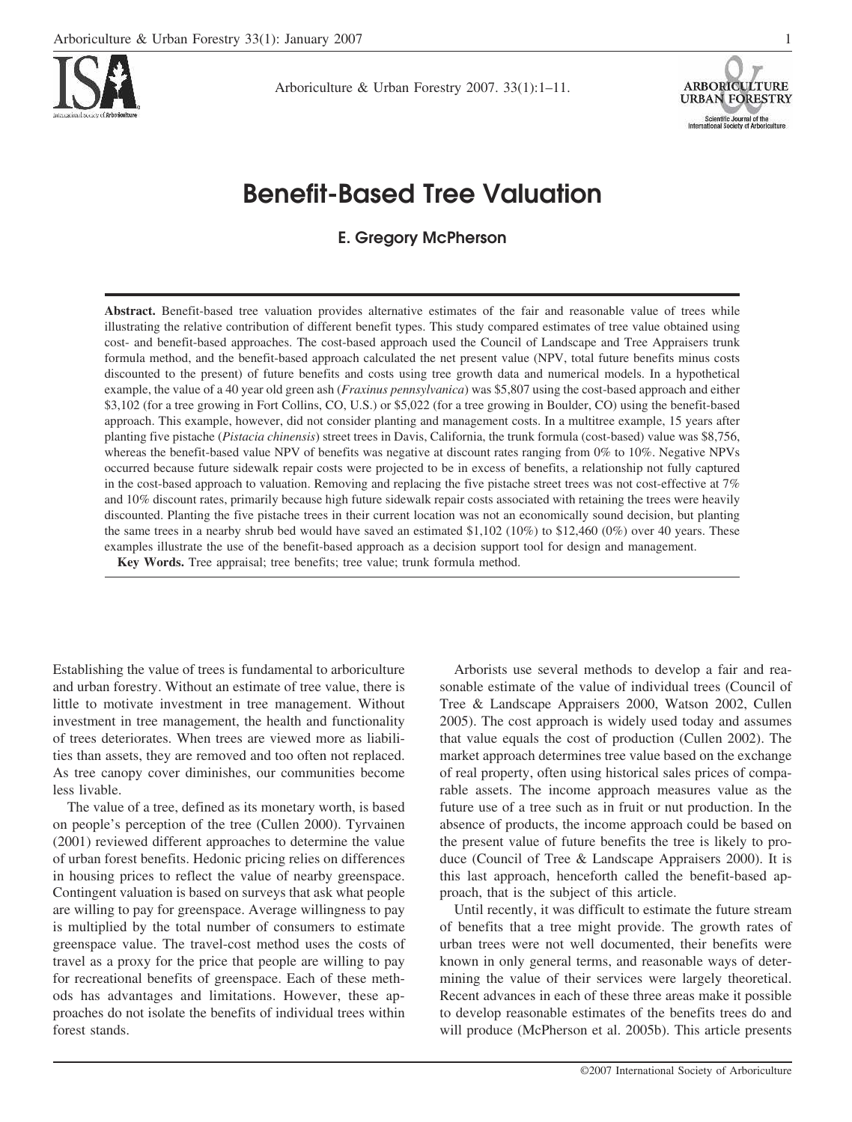

Arboriculture & Urban Forestry 2007. 33(1):1–11.



# **Benefit-Based Tree Valuation**

**E. Gregory McPherson** 

**Abstract.** Benefit-based tree valuation provides alternative estimates of the fair and reasonable value of trees while illustrating the relative contribution of different benefit types. This study compared estimates of tree value obtained using cost- and benefit-based approaches. The cost-based approach used the Council of Landscape and Tree Appraisers trunk formula method, and the benefit-based approach calculated the net present value (NPV, total future benefits minus costs discounted to the present) of future benefits and costs using tree growth data and numerical models. In a hypothetical example, the value of a 40 year old green ash (*Fraxinus pennsylvanica*) was \$5,807 using the cost-based approach and either \$3,102 (for a tree growing in Fort Collins, CO, U.S.) or \$5,022 (for a tree growing in Boulder, CO) using the benefit-based approach. This example, however, did not consider planting and management costs. In a multitree example, 15 years after planting five pistache (*Pistacia chinensis*) street trees in Davis, California, the trunk formula (cost-based) value was \$8,756, whereas the benefit-based value NPV of benefits was negative at discount rates ranging from 0% to 10%. Negative NPVs occurred because future sidewalk repair costs were projected to be in excess of benefits, a relationship not fully captured in the cost-based approach to valuation. Removing and replacing the five pistache street trees was not cost-effective at 7% and 10% discount rates, primarily because high future sidewalk repair costs associated with retaining the trees were heavily discounted. Planting the five pistache trees in their current location was not an economically sound decision, but planting the same trees in a nearby shrub bed would have saved an estimated \$1,102 (10%) to \$12,460 (0%) over 40 years. These examples illustrate the use of the benefit-based approach as a decision support tool for design and management. **Key Words.** Tree appraisal; tree benefits; tree value; trunk formula method.

Establishing the value of trees is fundamental to arboriculture and urban forestry. Without an estimate of tree value, there is little to motivate investment in tree management. Without investment in tree management, the health and functionality of trees deteriorates. When trees are viewed more as liabilities than assets, they are removed and too often not replaced. As tree canopy cover diminishes, our communities become less livable.

The value of a tree, defined as its monetary worth, is based on people's perception of the tree (Cullen 2000). Tyrvainen (2001) reviewed different approaches to determine the value of urban forest benefits. Hedonic pricing relies on differences in housing prices to reflect the value of nearby greenspace. Contingent valuation is based on surveys that ask what people are willing to pay for greenspace. Average willingness to pay is multiplied by the total number of consumers to estimate greenspace value. The travel-cost method uses the costs of travel as a proxy for the price that people are willing to pay for recreational benefits of greenspace. Each of these methods has advantages and limitations. However, these approaches do not isolate the benefits of individual trees within forest stands.

Arborists use several methods to develop a fair and reasonable estimate of the value of individual trees (Council of Tree & Landscape Appraisers 2000, Watson 2002, Cullen 2005). The cost approach is widely used today and assumes that value equals the cost of production (Cullen 2002). The market approach determines tree value based on the exchange of real property, often using historical sales prices of comparable assets. The income approach measures value as the future use of a tree such as in fruit or nut production. In the absence of products, the income approach could be based on the present value of future benefits the tree is likely to produce (Council of Tree & Landscape Appraisers 2000). It is this last approach, henceforth called the benefit-based approach, that is the subject of this article.

Until recently, it was difficult to estimate the future stream of benefits that a tree might provide. The growth rates of urban trees were not well documented, their benefits were known in only general terms, and reasonable ways of determining the value of their services were largely theoretical. Recent advances in each of these three areas make it possible to develop reasonable estimates of the benefits trees do and will produce (McPherson et al. 2005b). This article presents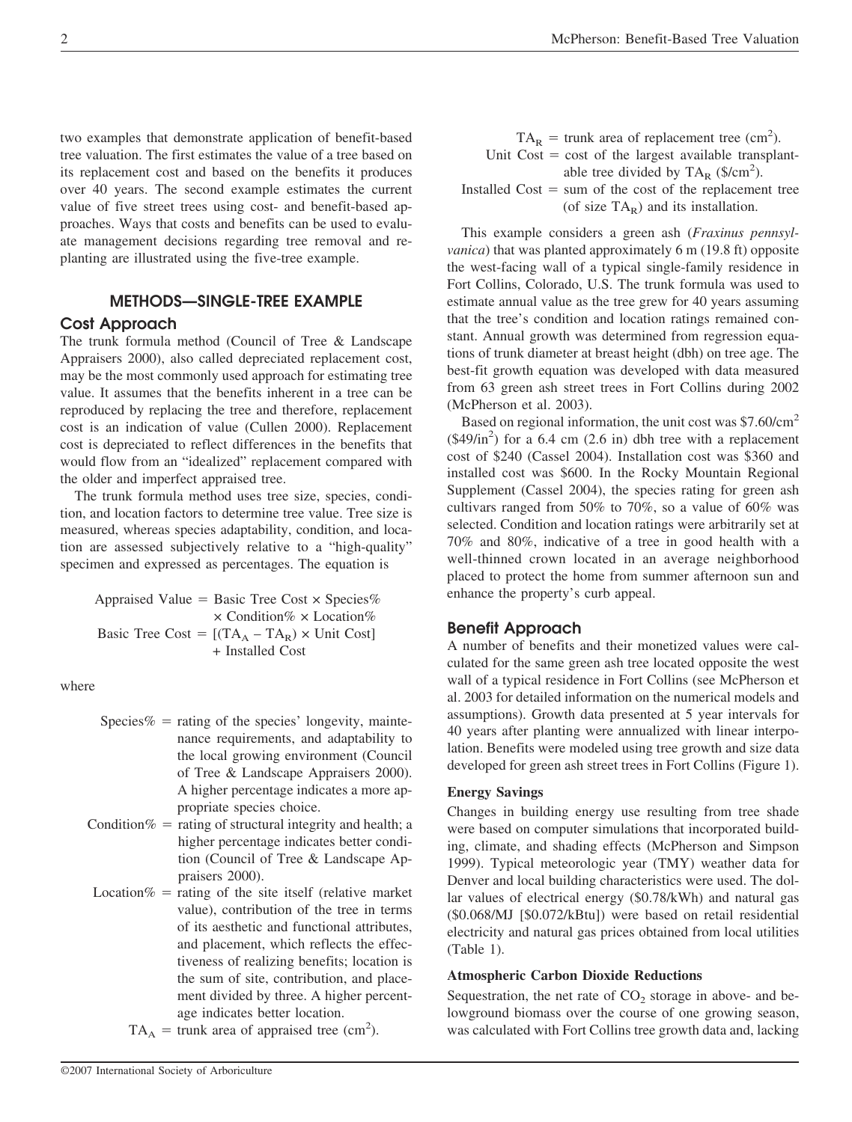two examples that demonstrate application of benefit-based tree valuation. The first estimates the value of a tree based on its replacement cost and based on the benefits it produces over 40 years. The second example estimates the current value of five street trees using cost- and benefit-based approaches. Ways that costs and benefits can be used to evaluate management decisions regarding tree removal and replanting are illustrated using the five-tree example.

## **METHODS—SINGLE-TREE EXAMPLE**

## **Cost Approach**

The trunk formula method (Council of Tree & Landscape Appraisers 2000), also called depreciated replacement cost, may be the most commonly used approach for estimating tree value. It assumes that the benefits inherent in a tree can be reproduced by replacing the tree and therefore, replacement cost is an indication of value (Cullen 2000). Replacement cost is depreciated to reflect differences in the benefits that would flow from an "idealized" replacement compared with the older and imperfect appraised tree.

The trunk formula method uses tree size, species, condition, and location factors to determine tree value. Tree size is measured, whereas species adaptability, condition, and location are assessed subjectively relative to a "high-quality" specimen and expressed as percentages. The equation is

Appraised Value = Basic Tree Cost  $\times$  Species%  $\times$  Condition%  $\times$  Location% Basic Tree Cost =  $[(TA_A - TA_R) \times Unit Cost]$ + Installed Cost

where

- Species  $% =$  rating of the species' longevity, maintenance requirements, and adaptability to the local growing environment (Council of Tree & Landscape Appraisers 2000). A higher percentage indicates a more appropriate species choice.
- Condition $%$  = rating of structural integrity and health; a higher percentage indicates better condition (Council of Tree & Landscape Appraisers 2000).
- Location  $\%$  = rating of the site itself (relative market value), contribution of the tree in terms of its aesthetic and functional attributes, and placement, which reflects the effectiveness of realizing benefits; location is the sum of site, contribution, and placement divided by three. A higher percentage indicates better location.
	- $TA_A$  = trunk area of appraised tree (cm<sup>2</sup>).

 $TA_R$  = trunk area of replacement tree (cm<sup>2</sup>). Unit  $Cost = cost of the largest available transplant$ able tree divided by  $TA_R$  (\$/cm<sup>2</sup>). Installed  $Cost = sum of the cost of the replacement tree$ (of size  $TA_R$ ) and its installation.

This example considers a green ash (*Fraxinus pennsylvanica*) that was planted approximately 6 m (19.8 ft) opposite the west-facing wall of a typical single-family residence in Fort Collins, Colorado, U.S. The trunk formula was used to estimate annual value as the tree grew for 40 years assuming that the tree's condition and location ratings remained constant. Annual growth was determined from regression equations of trunk diameter at breast height (dbh) on tree age. The best-fit growth equation was developed with data measured from 63 green ash street trees in Fort Collins during 2002 (McPherson et al. 2003).

Based on regional information, the unit cost was \$7.60/cm<sup>2</sup>  $(\$49/in^2)$  for a 6.4 cm (2.6 in) dbh tree with a replacement cost of \$240 (Cassel 2004). Installation cost was \$360 and installed cost was \$600. In the Rocky Mountain Regional Supplement (Cassel 2004), the species rating for green ash cultivars ranged from 50% to 70%, so a value of 60% was selected. Condition and location ratings were arbitrarily set at 70% and 80%, indicative of a tree in good health with a well-thinned crown located in an average neighborhood placed to protect the home from summer afternoon sun and enhance the property's curb appeal.

## **Benefit Approach**

A number of benefits and their monetized values were calculated for the same green ash tree located opposite the west wall of a typical residence in Fort Collins (see McPherson et al. 2003 for detailed information on the numerical models and assumptions). Growth data presented at 5 year intervals for 40 years after planting were annualized with linear interpolation. Benefits were modeled using tree growth and size data developed for green ash street trees in Fort Collins (Figure 1).

#### **Energy Savings**

Changes in building energy use resulting from tree shade were based on computer simulations that incorporated building, climate, and shading effects (McPherson and Simpson 1999). Typical meteorologic year (TMY) weather data for Denver and local building characteristics were used. The dollar values of electrical energy (\$0.78/kWh) and natural gas (\$0.068/MJ [\$0.072/kBtu]) were based on retail residential electricity and natural gas prices obtained from local utilities (Table 1).

#### **Atmospheric Carbon Dioxide Reductions**

Sequestration, the net rate of  $CO<sub>2</sub>$  storage in above- and belowground biomass over the course of one growing season, was calculated with Fort Collins tree growth data and, lacking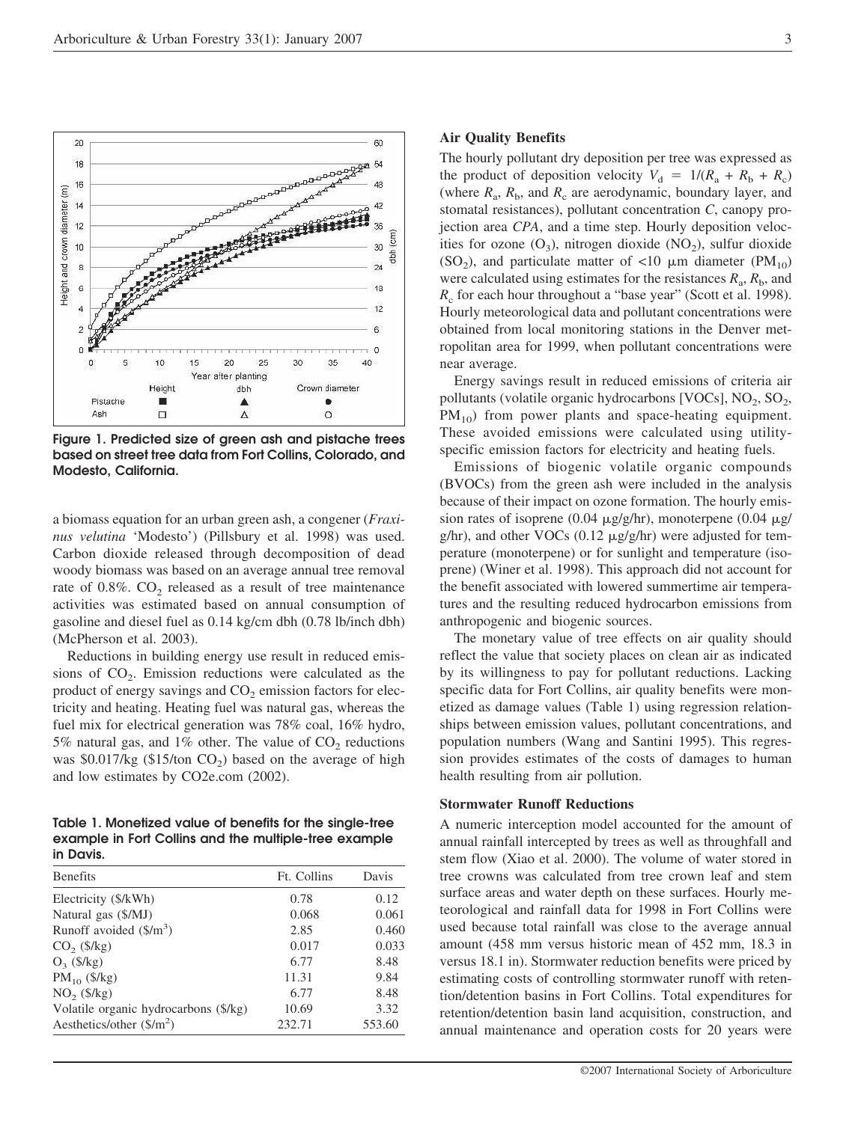

**Figure 1. Predicted size of green ash and pistache trees based on street tree data from Fort Collins, Colorado, and Modesto, California.** 

a biomass equation for an urban green ash, a congener (*Fraxinus velutina* 'Modesto') (Pillsbury et al. 1998) was used. Carbon dioxide released through decomposition of dead woody biomass was based on an average annual tree removal rate of  $0.8\%$ .  $CO<sub>2</sub>$  released as a result of tree maintenance activities was estimated based on annual consumption of gasoline and diesel fuel as 0.14 kg/cm dbh (0.78 lb/inch dbh) (McPherson et al. 2003).

Reductions in building energy use result in reduced emissions of  $CO<sub>2</sub>$ . Emission reductions were calculated as the product of energy savings and  $CO<sub>2</sub>$  emission factors for electricity and heating. Heating fuel was natural gas, whereas the fuel mix for electrical generation was 78% coal, 16% hydro, 5% natural gas, and 1% other. The value of  $CO<sub>2</sub>$  reductions was \$0.017/kg (\$15/ton  $CO<sub>2</sub>$ ) based on the average of high and low estimates by CO2e.com (2002).

## **Table 1. Monetized value of benefits for the single-tree example in Fort Collins and the multiple-tree example in Davis.**

| <b>Benefits</b>                       | Ft. Collins | Davis  |
|---------------------------------------|-------------|--------|
| Electricity (\$/kWh)                  | 0.78        | 0.12   |
| Natural gas (\$/MJ)                   | 0.068       | 0.061  |
| Runoff avoided $(\frac{5}{m^3})$      | 2.85        | 0.460  |
| $CO2$ (\$/kg)                         | 0.017       | 0.033  |
| $O_3$ (\$/kg)                         | 6.77        | 8.48   |
| $PM_{10}$ (\$/kg)                     | 11.31       | 9.84   |
| $NO2$ (\$/kg)                         | 6.77        | 8.48   |
| Volatile organic hydrocarbons (\$/kg) | 10.69       | 3.32   |
| Aesthetics/other $(\frac{5}{m^2})$    | 232.71      | 553.60 |

#### **Air Quality Benefits**

The hourly pollutant dry deposition per tree was expressed as the product of deposition velocity  $V_d = 1/(R_a + R_b + R_c)$ (where  $R_a$ ,  $R_b$ , and  $R_c$  are aerodynamic, boundary layer, and stomatal resistances), pollutant concentration *C*, canopy projection area *CPA*, and a time step. Hourly deposition velocities for ozone  $(O_3)$ , nitrogen dioxide  $(NO_2)$ , sulfur dioxide (SO<sub>2</sub>), and particulate matter of <10  $\mu$ m diameter (PM<sub>10</sub>) were calculated using estimates for the resistances  $R_a$ ,  $R_b$ , and *R<sub>c</sub>* for each hour throughout a "base year" (Scott et al. 1998). Hourly meteorological data and pollutant concentrations were obtained from local monitoring stations in the Denver metropolitan area for 1999, when pollutant concentrations were near average.

Energy savings result in reduced emissions of criteria air pollutants (volatile organic hydrocarbons [VOCs],  $NO_2$ ,  $SO_2$ ,  $PM_{10}$ ) from power plants and space-heating equipment. These avoided emissions were calculated using utilityspecific emission factors for electricity and heating fuels.

Emissions of biogenic volatile organic compounds (BVOCs) from the green ash were included in the analysis because of their impact on ozone formation. The hourly emission rates of isoprene (0.04  $\mu$ g/g/hr), monoterpene (0.04  $\mu$ g/  $g/hr$ ), and other VOCs (0.12  $\mu g/g/hr$ ) were adjusted for temperature (monoterpene) or for sunlight and temperature (isoprene) (Winer et al. 1998). This approach did not account for the benefit associated with lowered summertime air temperatures and the resulting reduced hydrocarbon emissions from anthropogenic and biogenic sources.

The monetary value of tree effects on air quality should reflect the value that society places on clean air as indicated by its willingness to pay for pollutant reductions. Lacking specific data for Fort Collins, air quality benefits were monetized as damage values (Table 1) using regression relationships between emission values, pollutant concentrations, and population numbers (Wang and Santini 1995). This regression provides estimates of the costs of damages to human health resulting from air pollution.

## **Stormwater Runoff Reductions**

A numeric interception model accounted for the amount of annual rainfall intercepted by trees as well as throughfall and stem flow (Xiao et al. 2000). The volume of water stored in tree crowns was calculated from tree crown leaf and stem surface areas and water depth on these surfaces. Hourly meteorological and rainfall data for 1998 in Fort Collins were used because total rainfall was close to the average annual amount (458 mm versus historic mean of 452 mm, 18.3 in versus 18.1 in). Stormwater reduction benefits were priced by estimating costs of controlling stormwater runoff with retention/detention basins in Fort Collins. Total expenditures for retention/detention basin land acquisition, construction, and annual maintenance and operation costs for 20 years were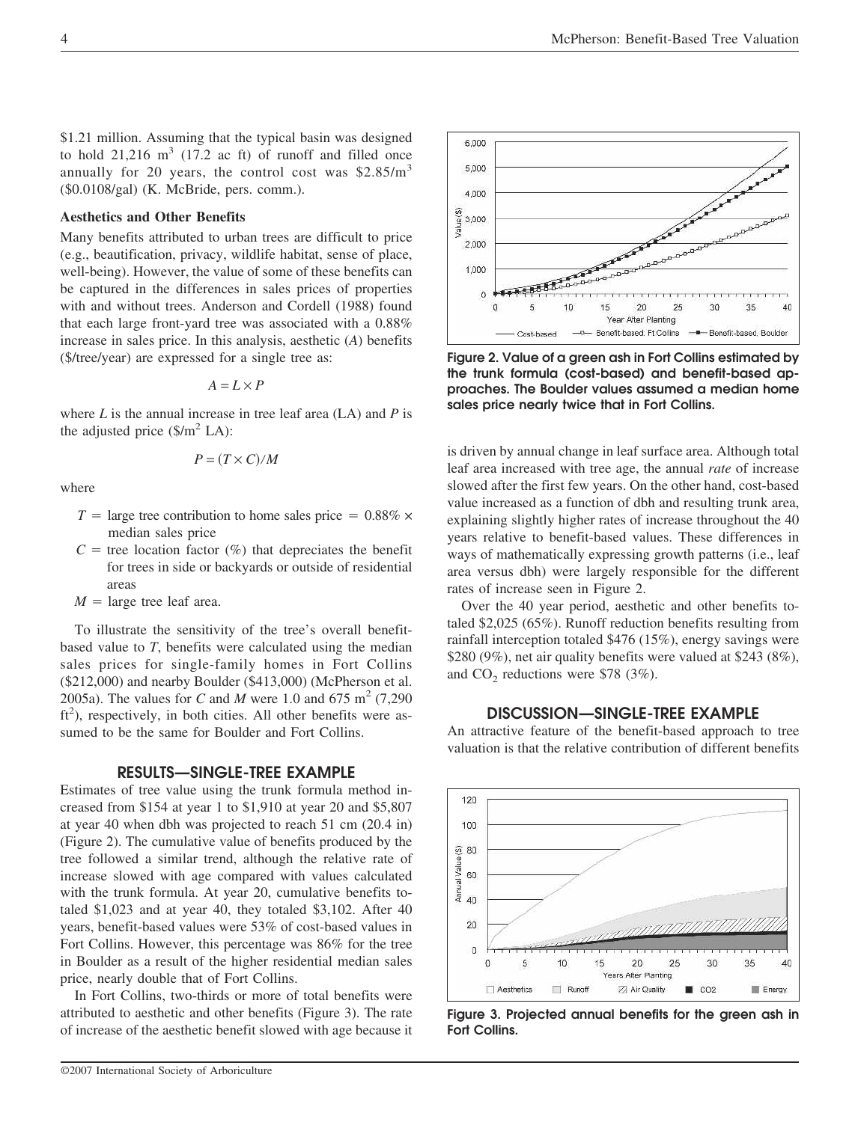\$1.21 million. Assuming that the typical basin was designed to hold  $21,216 \text{ m}^3$  (17.2 ac ft) of runoff and filled once annually for 20 years, the control cost was  $$2.85/m<sup>3</sup>$ (\$0.0108/gal) (K. McBride, pers. comm.).

## **Aesthetics and Other Benefits**

Many benefits attributed to urban trees are difficult to price (e.g., beautification, privacy, wildlife habitat, sense of place, well-being). However, the value of some of these benefits can be captured in the differences in sales prices of properties with and without trees. Anderson and Cordell (1988) found that each large front-yard tree was associated with a 0.88% increase in sales price. In this analysis, aesthetic (*A*) benefits (\$/tree/year) are expressed for a single tree as:

$$
A=L\times P
$$

where *L* is the annual increase in tree leaf area (LA) and *P* is the adjusted price  $(\frac{C}{m^2}LA)$ :

$$
P=(T\times C)/M
$$

where

- $T = \text{large tree contribution to home sales price} = 0.88\% \times$ median sales price
- $C =$  tree location factor  $(\%)$  that depreciates the benefit for trees in side or backyards or outside of residential areas
- $M = \text{large tree leaf area}.$

To illustrate the sensitivity of the tree's overall benefitbased value to *T*, benefits were calculated using the median sales prices for single-family homes in Fort Collins (\$212,000) and nearby Boulder (\$413,000) (McPherson et al. 2005a). The values for *C* and *M* were 1.0 and 675 m<sup>2</sup> (7,290) ft<sup>2</sup>), respectively, in both cities. All other benefits were assumed to be the same for Boulder and Fort Collins.

## **RESULTS—SINGLE-TREE EXAMPLE**

Estimates of tree value using the trunk formula method increased from \$154 at year 1 to \$1,910 at year 20 and \$5,807 at year 40 when dbh was projected to reach 51 cm (20.4 in) (Figure 2). The cumulative value of benefits produced by the tree followed a similar trend, although the relative rate of increase slowed with age compared with values calculated with the trunk formula. At year 20, cumulative benefits totaled \$1,023 and at year 40, they totaled \$3,102. After 40 years, benefit-based values were 53% of cost-based values in Fort Collins. However, this percentage was 86% for the tree in Boulder as a result of the higher residential median sales price, nearly double that of Fort Collins.

In Fort Collins, two-thirds or more of total benefits were attributed to aesthetic and other benefits (Figure 3). The rate of increase of the aesthetic benefit slowed with age because it



**DISCUSSION—SINGLE-TREE EXAMPLE** 



**Figure 3. Projected annual benefits for the green ash in Fort Collins.** 



**Figure 2. Value of a green ash in Fort Collins estimated by the trunk formula (cost-based) and benefit-based approaches. The Boulder values assumed a median home sales price nearly twice that in Fort Collins.** 

is driven by annual change in leaf surface area. Although total leaf area increased with tree age, the annual *rate* of increase slowed after the first few years. On the other hand, cost-based value increased as a function of dbh and resulting trunk area, explaining slightly higher rates of increase throughout the 40 years relative to benefit-based values. These differences in ways of mathematically expressing growth patterns (i.e., leaf area versus dbh) were largely responsible for the different rates of increase seen in Figure 2.

Over the 40 year period, aesthetic and other benefits totaled \$2,025 (65%). Runoff reduction benefits resulting from rainfall interception totaled \$476 (15%), energy savings were \$280 (9%), net air quality benefits were valued at \$243 (8%), and  $CO<sub>2</sub>$  reductions were \$78 (3%).

An attractive feature of the benefit-based approach to tree valuation is that the relative contribution of different benefits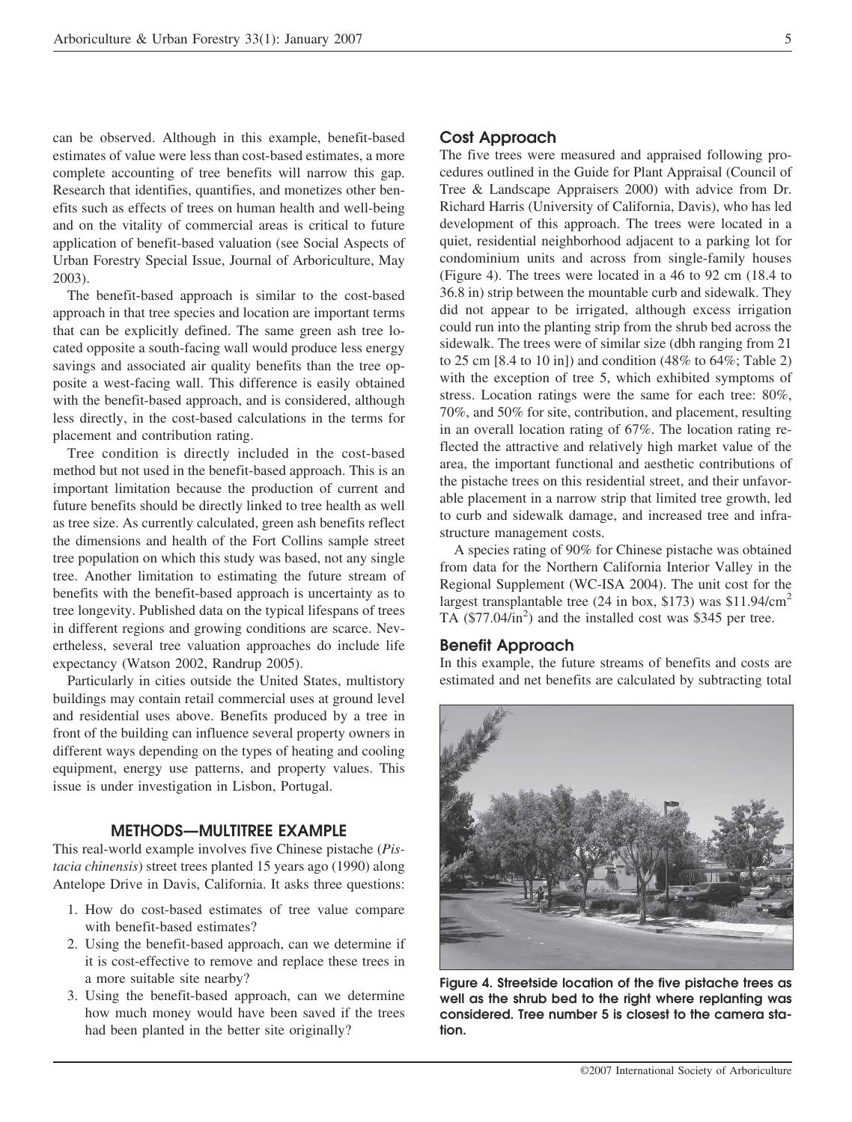can be observed. Although in this example, benefit-based estimates of value were less than cost-based estimates, a more complete accounting of tree benefits will narrow this gap. Research that identifies, quantifies, and monetizes other benefits such as effects of trees on human health and well-being and on the vitality of commercial areas is critical to future application of benefit-based valuation (see Social Aspects of Urban Forestry Special Issue, Journal of Arboriculture, May 2003).

The benefit-based approach is similar to the cost-based approach in that tree species and location are important terms that can be explicitly defined. The same green ash tree located opposite a south-facing wall would produce less energy savings and associated air quality benefits than the tree opposite a west-facing wall. This difference is easily obtained with the benefit-based approach, and is considered, although less directly, in the cost-based calculations in the terms for placement and contribution rating.

Tree condition is directly included in the cost-based method but not used in the benefit-based approach. This is an important limitation because the production of current and future benefits should be directly linked to tree health as well as tree size. As currently calculated, green ash benefits reflect the dimensions and health of the Fort Collins sample street tree population on which this study was based, not any single tree. Another limitation to estimating the future stream of benefits with the benefit-based approach is uncertainty as to tree longevity. Published data on the typical lifespans of trees in different regions and growing conditions are scarce. Nevertheless, several tree valuation approaches do include life expectancy (Watson 2002, Randrup 2005).

Particularly in cities outside the United States, multistory buildings may contain retail commercial uses at ground level and residential uses above. Benefits produced by a tree in front of the building can influence several property owners in different ways depending on the types of heating and cooling equipment, energy use patterns, and property values. This issue is under investigation in Lisbon, Portugal.

### **METHODS—MULTITREE EXAMPLE**

This real-world example involves five Chinese pistache (*Pistacia chinensis*) street trees planted 15 years ago (1990) along Antelope Drive in Davis, California. It asks three questions:

- 1. How do cost-based estimates of tree value compare with benefit-based estimates?
- 2. Using the benefit-based approach, can we determine if it is cost-effective to remove and replace these trees in a more suitable site nearby?
- 3. Using the benefit-based approach, can we determine how much money would have been saved if the trees had been planted in the better site originally?

## **Cost Approach**

The five trees were measured and appraised following procedures outlined in the Guide for Plant Appraisal (Council of Tree & Landscape Appraisers 2000) with advice from Dr. Richard Harris (University of California, Davis), who has led development of this approach. The trees were located in a quiet, residential neighborhood adjacent to a parking lot for condominium units and across from single-family houses (Figure 4). The trees were located in a 46 to 92 cm (18.4 to 36.8 in) strip between the mountable curb and sidewalk. They did not appear to be irrigated, although excess irrigation could run into the planting strip from the shrub bed across the sidewalk. The trees were of similar size (dbh ranging from 21 to 25 cm  $[8.4 \text{ to } 10 \text{ in}]$  and condition  $(48\% \text{ to } 64\%; \text{ Table 2})$ with the exception of tree 5, which exhibited symptoms of stress. Location ratings were the same for each tree: 80%, 70%, and 50% for site, contribution, and placement, resulting in an overall location rating of 67%. The location rating reflected the attractive and relatively high market value of the area, the important functional and aesthetic contributions of the pistache trees on this residential street, and their unfavorable placement in a narrow strip that limited tree growth, led to curb and sidewalk damage, and increased tree and infrastructure management costs.

A species rating of 90% for Chinese pistache was obtained from data for the Northern California Interior Valley in the Regional Supplement (WC-ISA 2004). The unit cost for the largest transplantable tree (24 in box, \$173) was  $$11.94/cm<sup>2</sup>$ TA  $(\$77.04/\text{in}^2)$  and the installed cost was \$345 per tree.

## **Benefit Approach**

In this example, the future streams of benefits and costs are estimated and net benefits are calculated by subtracting total



**Figure 4. Streetside location of the five pistache trees as well as the shrub bed to the right where replanting was considered. Tree number 5 is closest to the camera station.**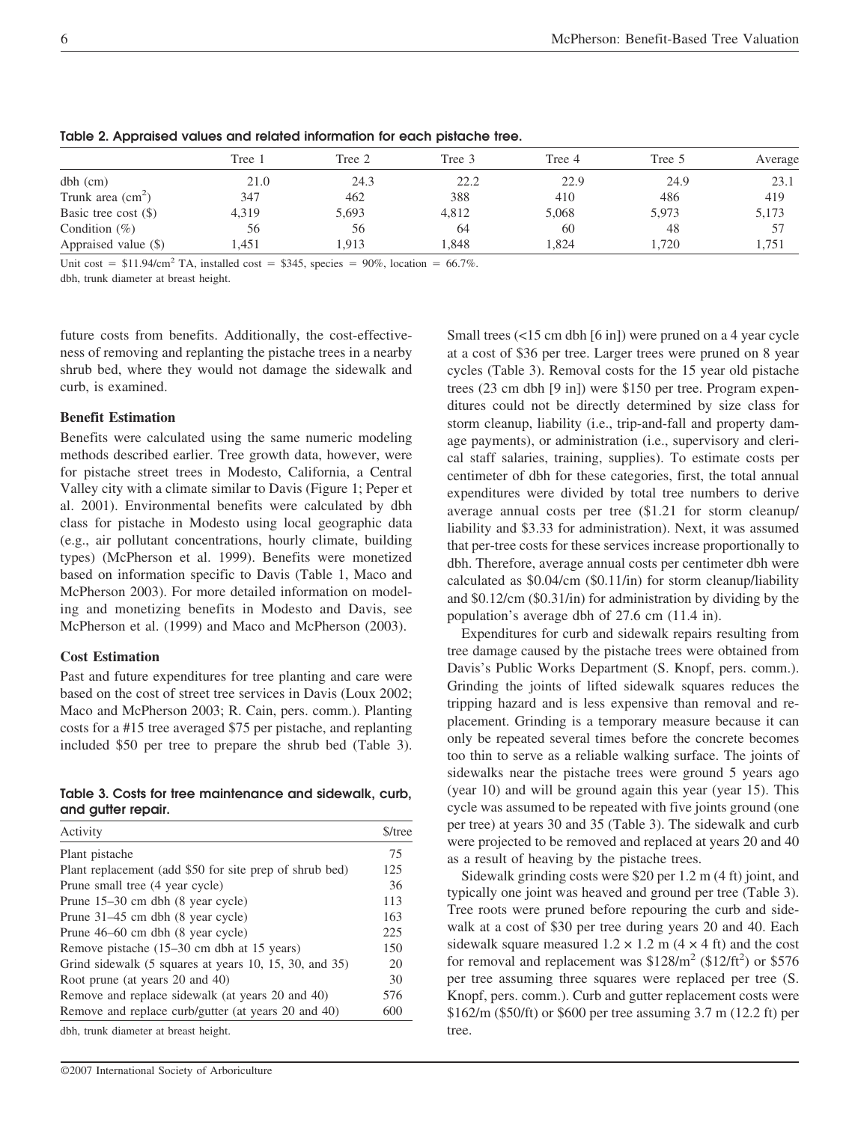|                            | Tree 1 | Tree 2 | Tree 3 | Tree 4 | Tree 5 | Average |
|----------------------------|--------|--------|--------|--------|--------|---------|
| $dbh$ (cm)                 | 21.0   | 24.3   | 22.2   | 22.9   | 24.9   | 23.1    |
| Trunk area $\text{(cm}^2)$ | 347    | 462    | 388    | 410    | 486    | 419     |
| Basic tree cost $(\$)$     | 4,319  | 5,693  | 4,812  | 5,068  | 5,973  | 5,173   |
| Condition $(\% )$          | 56     | 56     | 64     | 60     | 48     | 57      |
| Appraised value (\$)       | 1,451  | 1.913  | 1.848  | 1.824  | 1.720  | 1,751   |

**Table 2. Appraised values and related information for each pistache tree.** 

Unit cost =  $$11.94/cm<sup>2</sup> TA$ , installed cost =  $$345$ , species = 90%, location = 66.7%.

dbh, trunk diameter at breast height.

future costs from benefits. Additionally, the cost-effectiveness of removing and replanting the pistache trees in a nearby shrub bed, where they would not damage the sidewalk and curb, is examined.

### **Benefit Estimation**

Benefits were calculated using the same numeric modeling methods described earlier. Tree growth data, however, were for pistache street trees in Modesto, California, a Central Valley city with a climate similar to Davis (Figure 1; Peper et al. 2001). Environmental benefits were calculated by dbh class for pistache in Modesto using local geographic data (e.g., air pollutant concentrations, hourly climate, building types) (McPherson et al. 1999). Benefits were monetized based on information specific to Davis (Table 1, Maco and McPherson 2003). For more detailed information on modeling and monetizing benefits in Modesto and Davis, see McPherson et al. (1999) and Maco and McPherson (2003).

#### **Cost Estimation**

Past and future expenditures for tree planting and care were based on the cost of street tree services in Davis (Loux 2002; Maco and McPherson 2003; R. Cain, pers. comm.). Planting costs for a #15 tree averaged \$75 per pistache, and replanting included \$50 per tree to prepare the shrub bed (Table 3).

**Table 3. Costs for tree maintenance and sidewalk, curb, and gutter repair.** 

| Activity                                                | $$/$ tree |
|---------------------------------------------------------|-----------|
| Plant pistache                                          | 75        |
| Plant replacement (add \$50 for site prep of shrub bed) | 125       |
| Prune small tree (4 year cycle)                         | 36        |
| Prune $15-30$ cm dbh $(8 \text{ year cycle})$           | 113       |
| Prune 31–45 cm dbh (8 year cycle)                       | 163       |
| Prune 46–60 cm dbh (8 year cycle)                       | 225       |
| Remove pistache (15–30 cm dbh at 15 years)              | 150       |
| Grind sidewalk (5 squares at years 10, 15, 30, and 35)  | 20        |
| Root prune (at years 20 and 40)                         | 30        |
| Remove and replace sidewalk (at years 20 and 40)        | 576       |
| Remove and replace curb/gutter (at years 20 and 40)     | 600       |

dbh, trunk diameter at breast height.

Small trees (<15 cm dbh [6 in]) were pruned on a 4 year cycle at a cost of \$36 per tree. Larger trees were pruned on 8 year cycles (Table 3). Removal costs for the 15 year old pistache trees (23 cm dbh [9 in]) were \$150 per tree. Program expenditures could not be directly determined by size class for storm cleanup, liability (i.e., trip-and-fall and property damage payments), or administration (i.e., supervisory and clerical staff salaries, training, supplies). To estimate costs per centimeter of dbh for these categories, first, the total annual expenditures were divided by total tree numbers to derive average annual costs per tree (\$1.21 for storm cleanup/ liability and \$3.33 for administration). Next, it was assumed that per-tree costs for these services increase proportionally to dbh. Therefore, average annual costs per centimeter dbh were calculated as \$0.04/cm (\$0.11/in) for storm cleanup/liability and \$0.12/cm (\$0.31/in) for administration by dividing by the population's average dbh of 27.6 cm (11.4 in).

Expenditures for curb and sidewalk repairs resulting from tree damage caused by the pistache trees were obtained from Davis's Public Works Department (S. Knopf, pers. comm.). Grinding the joints of lifted sidewalk squares reduces the tripping hazard and is less expensive than removal and replacement. Grinding is a temporary measure because it can only be repeated several times before the concrete becomes too thin to serve as a reliable walking surface. The joints of sidewalks near the pistache trees were ground 5 years ago (year 10) and will be ground again this year (year 15). This cycle was assumed to be repeated with five joints ground (one per tree) at years 30 and 35 (Table 3). The sidewalk and curb were projected to be removed and replaced at years 20 and 40 as a result of heaving by the pistache trees.

Sidewalk grinding costs were \$20 per 1.2 m (4 ft) joint, and typically one joint was heaved and ground per tree (Table 3). Tree roots were pruned before repouring the curb and sidewalk at a cost of \$30 per tree during years 20 and 40. Each sidewalk square measured  $1.2 \times 1.2$  m (4  $\times$  4 ft) and the cost for removal and replacement was  $$128/m<sup>2</sup>$  ( $$12/ft<sup>2</sup>$ ) or  $$576$ per tree assuming three squares were replaced per tree (S. Knopf, pers. comm.). Curb and gutter replacement costs were \$162/m (\$50/ft) or \$600 per tree assuming 3.7 m (12.2 ft) per tree.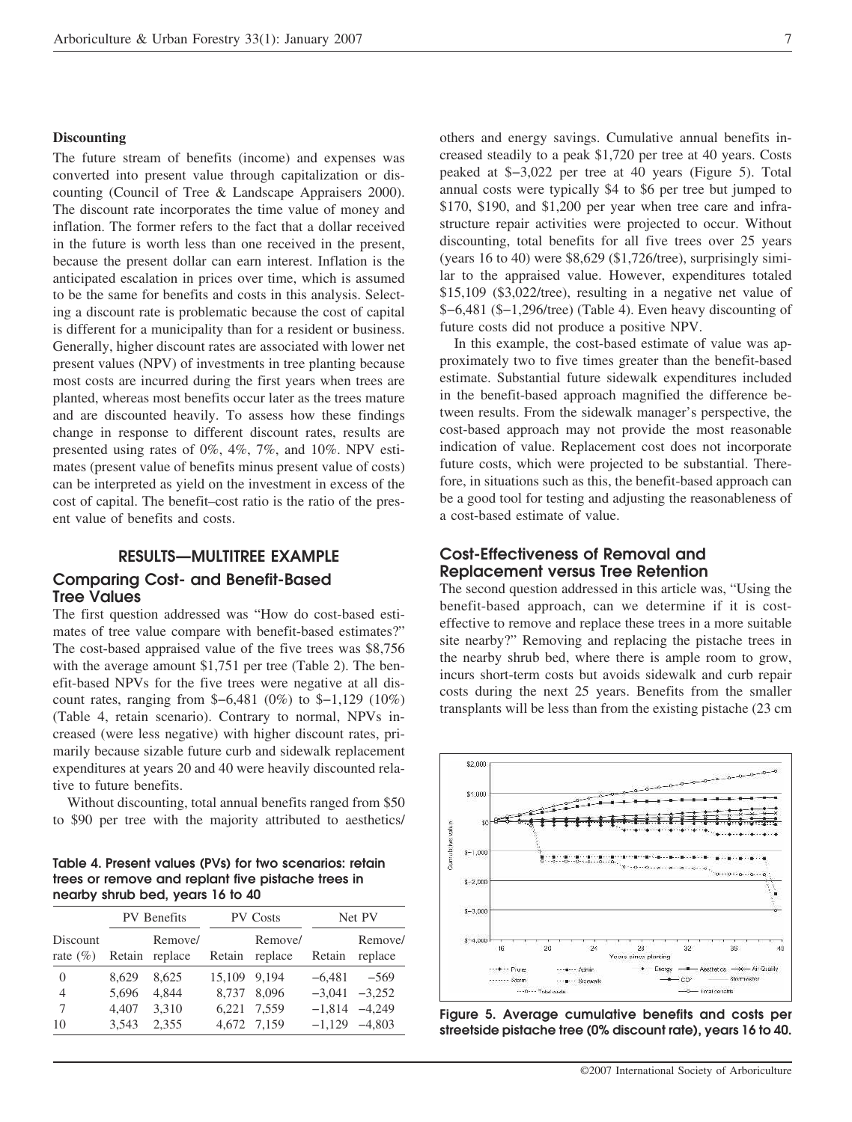### **Discounting**

The future stream of benefits (income) and expenses was converted into present value through capitalization or discounting (Council of Tree & Landscape Appraisers 2000). The discount rate incorporates the time value of money and inflation. The former refers to the fact that a dollar received in the future is worth less than one received in the present, because the present dollar can earn interest. Inflation is the anticipated escalation in prices over time, which is assumed to be the same for benefits and costs in this analysis. Selecting a discount rate is problematic because the cost of capital is different for a municipality than for a resident or business. Generally, higher discount rates are associated with lower net present values (NPV) of investments in tree planting because most costs are incurred during the first years when trees are planted, whereas most benefits occur later as the trees mature and are discounted heavily. To assess how these findings change in response to different discount rates, results are presented using rates of 0%, 4%, 7%, and 10%. NPV estimates (present value of benefits minus present value of costs) can be interpreted as yield on the investment in excess of the cost of capital. The benefit–cost ratio is the ratio of the present value of benefits and costs.

## **RESULTS—MULTITREE EXAMPLE Comparing Cost- and Benefit-Based Tree Values**

The first question addressed was "How do cost-based estimates of tree value compare with benefit-based estimates?" The cost-based appraised value of the five trees was \$8,756 with the average amount \$1,751 per tree (Table 2). The benefit-based NPVs for the five trees were negative at all discount rates, ranging from \$−6,481 (0%) to \$−1,129 (10%) (Table 4, retain scenario). Contrary to normal, NPVs increased (were less negative) with higher discount rates, primarily because sizable future curb and sidewalk replacement expenditures at years 20 and 40 were heavily discounted relative to future benefits.

Without discounting, total annual benefits ranged from \$50 to \$90 per tree with the majority attributed to aesthetics/

**Table 4. Present values (PVs) for two scenarios: retain trees or remove and replant five pistache trees in nearby shrub bed, years 16 to 40** 

|                          | <b>PV</b> Benefits |                           | <b>PV Costs</b> |                    | Net PV   |                    |
|--------------------------|--------------------|---------------------------|-----------------|--------------------|----------|--------------------|
| Discount<br>rate $(\% )$ |                    | Remove/<br>Retain replace | Retain          | Remove/<br>replace | Retain   | Remove/<br>replace |
| $\theta$                 | 8.629              | 8.625                     | 15.109          | 9.194              | $-6,481$ | -569               |
| 4                        | 5.696              | 4.844                     | 8.737           | 8.096              | $-3.041$ | $-3.252$           |
| 7                        | 4.407              | 3.310                     | 6.221           | 7.559              | $-1.814$ | $-4,249$           |
| 10                       | 3.543              | 2.355                     | 4,672           | 7.159              | $-1.129$ | $-4.803$           |

others and energy savings. Cumulative annual benefits increased steadily to a peak \$1,720 per tree at 40 years. Costs peaked at \$−3,022 per tree at 40 years (Figure 5). Total annual costs were typically \$4 to \$6 per tree but jumped to \$170, \$190, and \$1,200 per year when tree care and infrastructure repair activities were projected to occur. Without discounting, total benefits for all five trees over 25 years (years 16 to 40) were \$8,629 (\$1,726/tree), surprisingly similar to the appraised value. However, expenditures totaled \$15,109 (\$3,022/tree), resulting in a negative net value of \$−6,481 (\$−1,296/tree) (Table 4). Even heavy discounting of future costs did not produce a positive NPV.

In this example, the cost-based estimate of value was approximately two to five times greater than the benefit-based estimate. Substantial future sidewalk expenditures included in the benefit-based approach magnified the difference between results. From the sidewalk manager's perspective, the cost-based approach may not provide the most reasonable indication of value. Replacement cost does not incorporate future costs, which were projected to be substantial. Therefore, in situations such as this, the benefit-based approach can be a good tool for testing and adjusting the reasonableness of a cost-based estimate of value.

## **Cost-Effectiveness of Removal and Replacement versus Tree Retention**

The second question addressed in this article was, "Using the benefit-based approach, can we determine if it is costeffective to remove and replace these trees in a more suitable site nearby?" Removing and replacing the pistache trees in the nearby shrub bed, where there is ample room to grow, incurs short-term costs but avoids sidewalk and curb repair costs during the next 25 years. Benefits from the smaller transplants will be less than from the existing pistache (23 cm



**Figure 5. Average cumulative benefits and costs per streetside pistache tree (0% discount rate), years 16 to 40.**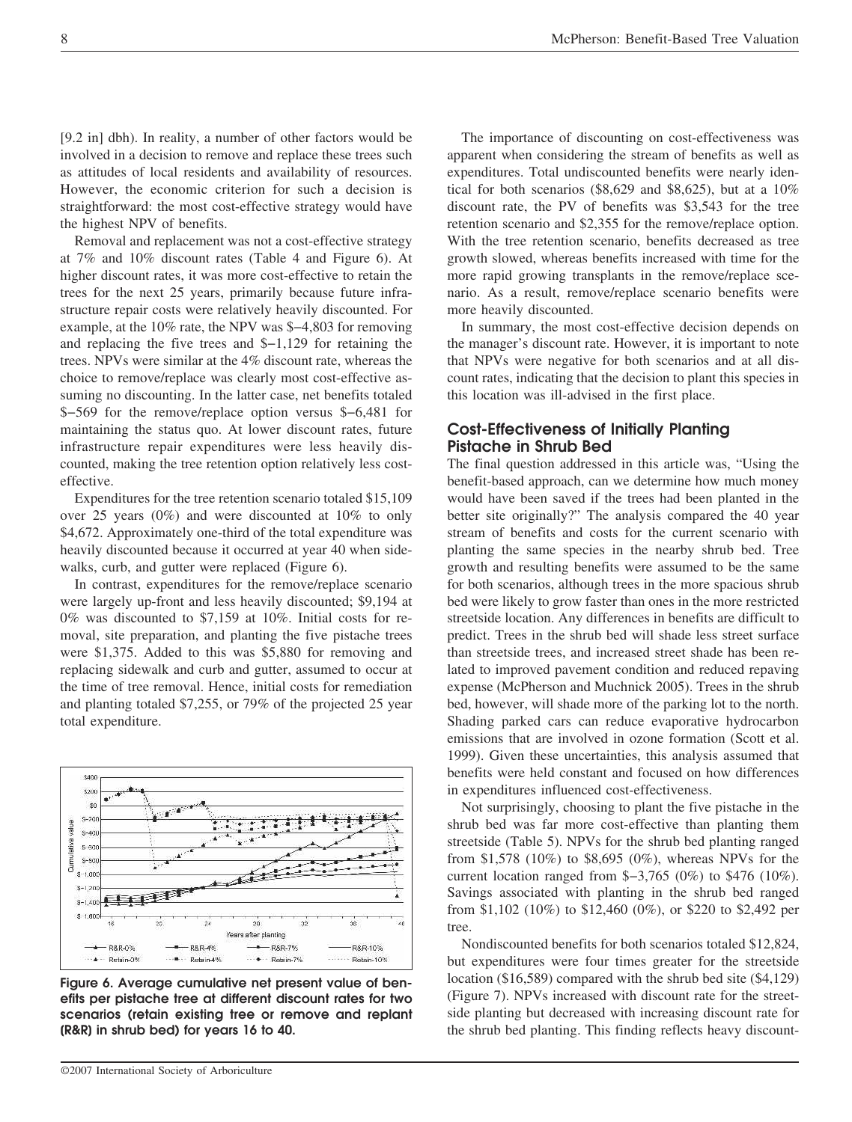[9.2 in] dbh). In reality, a number of other factors would be involved in a decision to remove and replace these trees such as attitudes of local residents and availability of resources. However, the economic criterion for such a decision is straightforward: the most cost-effective strategy would have the highest NPV of benefits.

Removal and replacement was not a cost-effective strategy at 7% and 10% discount rates (Table 4 and Figure 6). At higher discount rates, it was more cost-effective to retain the trees for the next 25 years, primarily because future infrastructure repair costs were relatively heavily discounted. For example, at the 10% rate, the NPV was \$−4,803 for removing and replacing the five trees and \$−1,129 for retaining the trees. NPVs were similar at the 4% discount rate, whereas the choice to remove/replace was clearly most cost-effective assuming no discounting. In the latter case, net benefits totaled \$−569 for the remove/replace option versus \$−6,481 for maintaining the status quo. At lower discount rates, future infrastructure repair expenditures were less heavily discounted, making the tree retention option relatively less costeffective.

Expenditures for the tree retention scenario totaled \$15,109 over 25 years (0%) and were discounted at 10% to only \$4,672. Approximately one-third of the total expenditure was heavily discounted because it occurred at year 40 when sidewalks, curb, and gutter were replaced (Figure 6).

In contrast, expenditures for the remove/replace scenario were largely up-front and less heavily discounted; \$9,194 at 0% was discounted to \$7,159 at 10%. Initial costs for removal, site preparation, and planting the five pistache trees were \$1,375. Added to this was \$5,880 for removing and replacing sidewalk and curb and gutter, assumed to occur at the time of tree removal. Hence, initial costs for remediation and planting totaled \$7,255, or 79% of the projected 25 year total expenditure.



**Figure 6. Average cumulative net present value of benefits per pistache tree at different discount rates for two scenarios (retain existing tree or remove and replant [R&R] in shrub bed) for years 16 to 40.** 

The importance of discounting on cost-effectiveness was apparent when considering the stream of benefits as well as expenditures. Total undiscounted benefits were nearly identical for both scenarios (\$8,629 and \$8,625), but at a 10% discount rate, the PV of benefits was \$3,543 for the tree retention scenario and \$2,355 for the remove/replace option. With the tree retention scenario, benefits decreased as tree growth slowed, whereas benefits increased with time for the more rapid growing transplants in the remove/replace scenario. As a result, remove/replace scenario benefits were more heavily discounted.

In summary, the most cost-effective decision depends on the manager's discount rate. However, it is important to note that NPVs were negative for both scenarios and at all discount rates, indicating that the decision to plant this species in this location was ill-advised in the first place.

## **Cost-Effectiveness of Initially Planting Pistache in Shrub Bed**

The final question addressed in this article was, "Using the benefit-based approach, can we determine how much money would have been saved if the trees had been planted in the better site originally?" The analysis compared the 40 year stream of benefits and costs for the current scenario with planting the same species in the nearby shrub bed. Tree growth and resulting benefits were assumed to be the same for both scenarios, although trees in the more spacious shrub bed were likely to grow faster than ones in the more restricted streetside location. Any differences in benefits are difficult to predict. Trees in the shrub bed will shade less street surface than streetside trees, and increased street shade has been related to improved pavement condition and reduced repaving expense (McPherson and Muchnick 2005). Trees in the shrub bed, however, will shade more of the parking lot to the north. Shading parked cars can reduce evaporative hydrocarbon emissions that are involved in ozone formation (Scott et al. 1999). Given these uncertainties, this analysis assumed that benefits were held constant and focused on how differences in expenditures influenced cost-effectiveness.

Not surprisingly, choosing to plant the five pistache in the shrub bed was far more cost-effective than planting them streetside (Table 5). NPVs for the shrub bed planting ranged from \$1,578 (10%) to \$8,695 (0%), whereas NPVs for the current location ranged from \$−3,765 (0%) to \$476 (10%). Savings associated with planting in the shrub bed ranged from \$1,102 (10%) to \$12,460 (0%), or \$220 to \$2,492 per tree.

Nondiscounted benefits for both scenarios totaled \$12,824, but expenditures were four times greater for the streetside location (\$16,589) compared with the shrub bed site (\$4,129) (Figure 7). NPVs increased with discount rate for the streetside planting but decreased with increasing discount rate for the shrub bed planting. This finding reflects heavy discount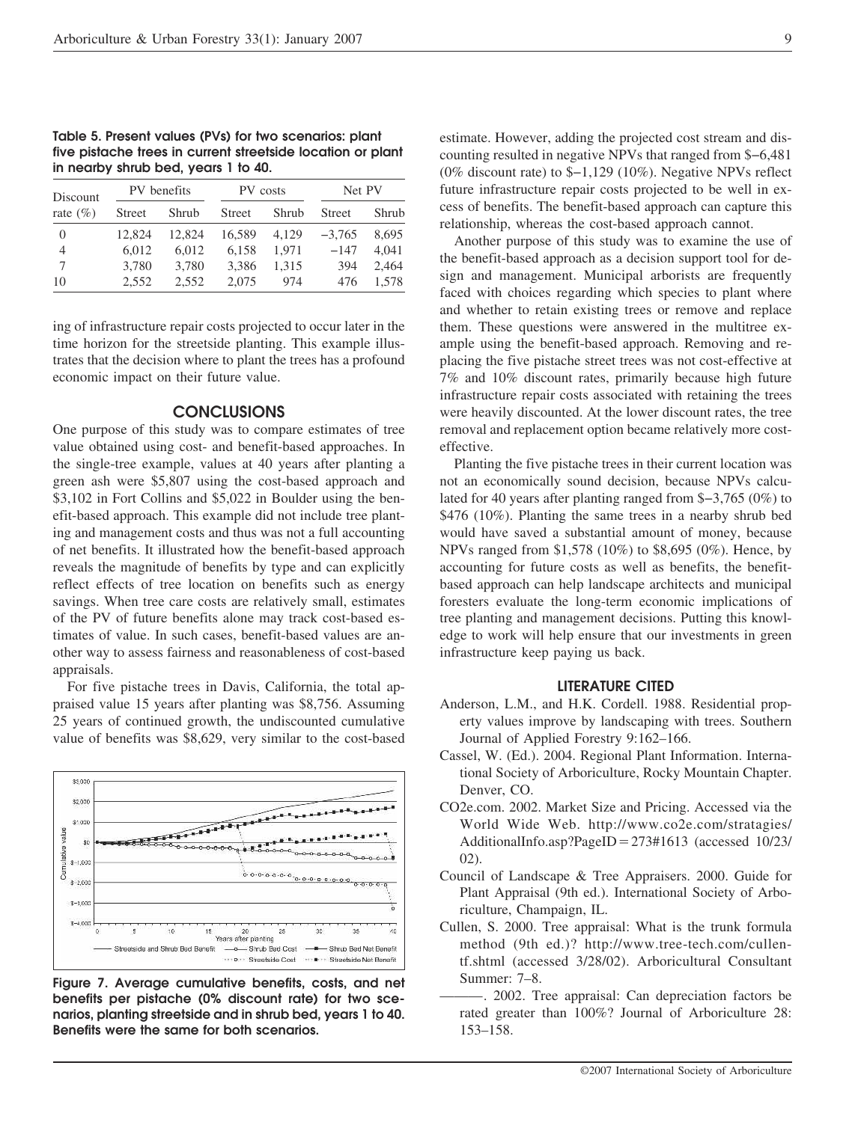**Table 5. Present values (PVs) for two scenarios: plant five pistache trees in current streetside location or plant in nearby shrub bed, years 1 to 40.** 

| Discount<br>rate $(\% )$ | PV benefits   |        | PV costs      |       | Net PV        |       |
|--------------------------|---------------|--------|---------------|-------|---------------|-------|
|                          | <b>Street</b> | Shrub  | <b>Street</b> | Shrub | <b>Street</b> | Shrub |
| 0                        | 12.824        | 12.824 | 16.589        | 4.129 | $-3,765$      | 8.695 |
| 4                        | 6,012         | 6.012  | 6.158         | 1.971 | $-147$        | 4.041 |
| 7                        | 3.780         | 3,780  | 3.386         | 1.315 | 394           | 2,464 |
| 10                       | 2.552         | 2.552  | 2,075         | 974   | 476           | 1.578 |

ing of infrastructure repair costs projected to occur later in the time horizon for the streetside planting. This example illustrates that the decision where to plant the trees has a profound economic impact on their future value.

## **CONCLUSIONS**

One purpose of this study was to compare estimates of tree value obtained using cost- and benefit-based approaches. In the single-tree example, values at 40 years after planting a green ash were \$5,807 using the cost-based approach and \$3,102 in Fort Collins and \$5,022 in Boulder using the benefit-based approach. This example did not include tree planting and management costs and thus was not a full accounting of net benefits. It illustrated how the benefit-based approach reveals the magnitude of benefits by type and can explicitly reflect effects of tree location on benefits such as energy savings. When tree care costs are relatively small, estimates of the PV of future benefits alone may track cost-based estimates of value. In such cases, benefit-based values are another way to assess fairness and reasonableness of cost-based appraisals.

For five pistache trees in Davis, California, the total appraised value 15 years after planting was \$8,756. Assuming 25 years of continued growth, the undiscounted cumulative value of benefits was \$8,629, very similar to the cost-based



**Figure 7. Average cumulative benefits, costs, and net benefits per pistache (0% discount rate) for two scenarios, planting streetside and in shrub bed, years 1 to 40. Benefits were the same for both scenarios.** 

estimate. However, adding the projected cost stream and discounting resulted in negative NPVs that ranged from \$−6,481 (0% discount rate) to \$−1,129 (10%). Negative NPVs reflect future infrastructure repair costs projected to be well in excess of benefits. The benefit-based approach can capture this relationship, whereas the cost-based approach cannot.

Another purpose of this study was to examine the use of the benefit-based approach as a decision support tool for design and management. Municipal arborists are frequently faced with choices regarding which species to plant where and whether to retain existing trees or remove and replace them. These questions were answered in the multitree example using the benefit-based approach. Removing and replacing the five pistache street trees was not cost-effective at 7% and 10% discount rates, primarily because high future infrastructure repair costs associated with retaining the trees were heavily discounted. At the lower discount rates, the tree removal and replacement option became relatively more costeffective.

Planting the five pistache trees in their current location was not an economically sound decision, because NPVs calculated for 40 years after planting ranged from \$−3,765 (0%) to \$476 (10%). Planting the same trees in a nearby shrub bed would have saved a substantial amount of money, because NPVs ranged from \$1,578 (10%) to \$8,695 (0%). Hence, by accounting for future costs as well as benefits, the benefitbased approach can help landscape architects and municipal foresters evaluate the long-term economic implications of tree planting and management decisions. Putting this knowledge to work will help ensure that our investments in green infrastructure keep paying us back.

#### **LITERATURE CITED**

- Anderson, L.M., and H.K. Cordell. 1988. Residential property values improve by landscaping with trees. Southern Journal of Applied Forestry 9:162–166.
- Cassel, W. (Ed.). 2004. Regional Plant Information. International Society of Arboriculture, Rocky Mountain Chapter. Denver, CO.
- CO2e.com. 2002. Market Size and Pricing. Accessed via the World Wide Web. http://www.co2e.com/stratagies/ AdditionalInfo.asp?PageID=273#1613 (accessed 10/23/ 02).
- Council of Landscape & Tree Appraisers. 2000. Guide for Plant Appraisal (9th ed.). International Society of Arboriculture, Champaign, IL.
- Cullen, S. 2000. Tree appraisal: What is the trunk formula method (9th ed.)? http://www.tree-tech.com/cullentf.shtml (accessed 3/28/02). Arboricultural Consultant Summer: 7–8.
- -. 2002. Tree appraisal: Can depreciation factors be rated greater than 100%? Journal of Arboriculture 28: 153–158.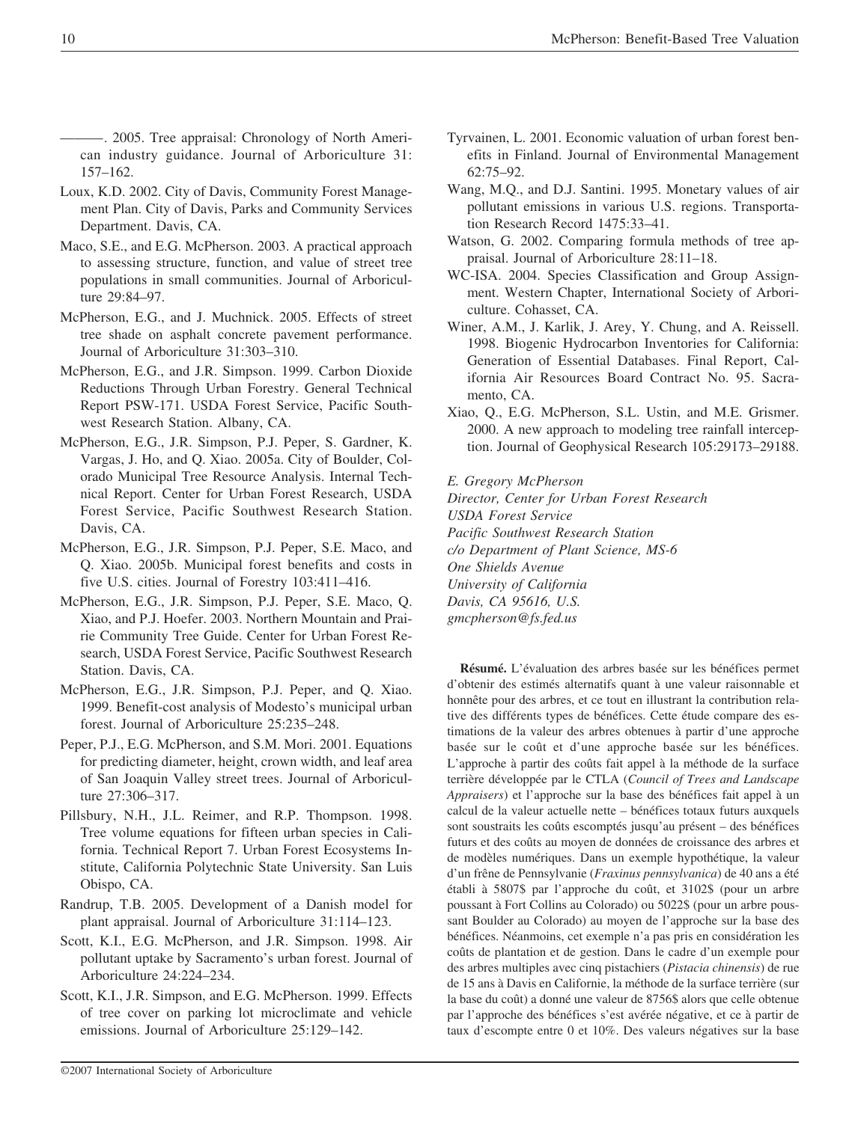———. 2005. Tree appraisal: Chronology of North American industry guidance. Journal of Arboriculture 31: 157–162.

- Loux, K.D. 2002. City of Davis, Community Forest Management Plan. City of Davis, Parks and Community Services Department. Davis, CA.
- Maco, S.E., and E.G. McPherson. 2003. A practical approach to assessing structure, function, and value of street tree populations in small communities. Journal of Arboriculture 29:84–97.
- McPherson, E.G., and J. Muchnick. 2005. Effects of street tree shade on asphalt concrete pavement performance. Journal of Arboriculture 31:303–310.
- McPherson, E.G., and J.R. Simpson. 1999. Carbon Dioxide Reductions Through Urban Forestry. General Technical Report PSW-171. USDA Forest Service, Pacific Southwest Research Station. Albany, CA.
- McPherson, E.G., J.R. Simpson, P.J. Peper, S. Gardner, K. Vargas, J. Ho, and Q. Xiao. 2005a. City of Boulder, Colorado Municipal Tree Resource Analysis. Internal Technical Report. Center for Urban Forest Research, USDA Forest Service, Pacific Southwest Research Station. Davis, CA.
- McPherson, E.G., J.R. Simpson, P.J. Peper, S.E. Maco, and Q. Xiao. 2005b. Municipal forest benefits and costs in five U.S. cities. Journal of Forestry 103:411–416.
- McPherson, E.G., J.R. Simpson, P.J. Peper, S.E. Maco, Q. Xiao, and P.J. Hoefer. 2003. Northern Mountain and Prairie Community Tree Guide. Center for Urban Forest Research, USDA Forest Service, Pacific Southwest Research Station. Davis, CA.
- McPherson, E.G., J.R. Simpson, P.J. Peper, and Q. Xiao. 1999. Benefit-cost analysis of Modesto's municipal urban forest. Journal of Arboriculture 25:235–248.
- Peper, P.J., E.G. McPherson, and S.M. Mori. 2001. Equations for predicting diameter, height, crown width, and leaf area of San Joaquin Valley street trees. Journal of Arboriculture 27:306–317.
- Pillsbury, N.H., J.L. Reimer, and R.P. Thompson. 1998. Tree volume equations for fifteen urban species in California. Technical Report 7. Urban Forest Ecosystems Institute, California Polytechnic State University. San Luis Obispo, CA.
- Randrup, T.B. 2005. Development of a Danish model for plant appraisal. Journal of Arboriculture 31:114–123.
- Scott, K.I., E.G. McPherson, and J.R. Simpson. 1998. Air pollutant uptake by Sacramento's urban forest. Journal of Arboriculture 24:224–234.
- Scott, K.I., J.R. Simpson, and E.G. McPherson. 1999. Effects of tree cover on parking lot microclimate and vehicle emissions. Journal of Arboriculture 25:129–142.
- Tyrvainen, L. 2001. Economic valuation of urban forest benefits in Finland. Journal of Environmental Management 62:75–92.
- Wang, M.Q., and D.J. Santini. 1995. Monetary values of air pollutant emissions in various U.S. regions. Transportation Research Record 1475:33–41.
- Watson, G. 2002. Comparing formula methods of tree appraisal. Journal of Arboriculture 28:11–18.
- WC-ISA. 2004. Species Classification and Group Assignment. Western Chapter, International Society of Arboriculture. Cohasset, CA.
- Winer, A.M., J. Karlik, J. Arey, Y. Chung, and A. Reissell. 1998. Biogenic Hydrocarbon Inventories for California: Generation of Essential Databases. Final Report, California Air Resources Board Contract No. 95. Sacramento, CA.
- Xiao, Q., E.G. McPherson, S.L. Ustin, and M.E. Grismer. 2000. A new approach to modeling tree rainfall interception. Journal of Geophysical Research 105:29173–29188.

*E. Gregory McPherson* 

*Director, Center for Urban Forest Research USDA Forest Service Pacific Southwest Research Station c/o Department of Plant Science, MS-6 One Shields Avenue University of California Davis, CA 95616, U.S. gmcpherson@fs.fed.us* 

**Résumé.** L'évaluation des arbres basée sur les bénéfices permet d'obtenir des estimés alternatifs quant à une valeur raisonnable et honnête pour des arbres, et ce tout en illustrant la contribution relative des différents types de bénéfices. Cette étude compare des estimations de la valeur des arbres obtenues à partir d'une approche basée sur le coût et d'une approche basée sur les bénéfices. L'approche à partir des coûts fait appel à la méthode de la surface terrière développée par le CTLA (*Council of Trees and Landscape Appraisers*) et l'approche sur la base des bénéfices fait appel à un calcul de la valeur actuelle nette – bénéfices totaux futurs auxquels sont soustraits les coûts escomptés jusqu'au présent – des bénéfices futurs et des coûts au moyen de données de croissance des arbres et de modèles numériques. Dans un exemple hypothétique, la valeur d'un frêne de Pennsylvanie (*Fraxinus pennsylvanica*) de 40 ans a été établi à 5807\$ par l'approche du coût, et 3102\$ (pour un arbre poussant à Fort Collins au Colorado) ou 5022\$ (pour un arbre poussant Boulder au Colorado) au moyen de l'approche sur la base des bénéfices. Néanmoins, cet exemple n'a pas pris en considération les coûts de plantation et de gestion. Dans le cadre d'un exemple pour des arbres multiples avec cinq pistachiers (*Pistacia chinensis*) de rue de 15 ans à Davis en Californie, la méthode de la surface terrière (sur la base du coût) a donné une valeur de 8756\$ alors que celle obtenue par l'approche des bénéfices s'est avérée négative, et ce à partir de taux d'escompte entre 0 et 10%. Des valeurs négatives sur la base